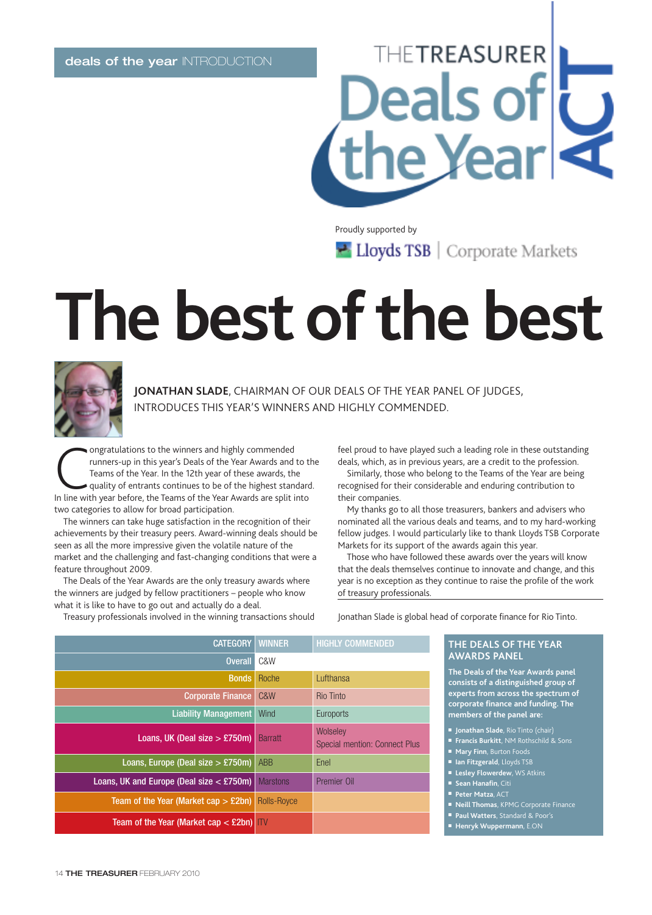### **THETREASURER** Deals of ie Yearl

Proudly supported by

Lloyds TSB | Corporate Markets

## **The best of the best**



**JONATHAN SLADE**, CHAIRMAN OF OUR DEALS OF THE YEAR PANEL OF JUDGES, INTRODUCES THIS YEAR'S WINNERS AND HIGHLY COMMENDED.

**CONFIGURER CONCILED STATE CONCIDENT CONTROVIDED STATE CONTROLLY THE STATE OF STATE CONTROLLY THE SPLIT STATE OF SPLIT INTERED STATE OF SPLIT INTERED SPLIT INTERED SPLIT INTERED SPLIT INTERED SPLIT INTERED SPLIT INTERED SP** ongratulations to the winners and highly commended runners-up in this year's Deals of the Year Awards and to the Teams of the Year. In the 12th year of these awards, the quality of entrants continues to be of the highest standard. two categories to allow for broad participation.

The winners can take huge satisfaction in the recognition of their achievements by their treasury peers. Award-winning deals should be seen as all the more impressive given the volatile nature of the market and the challenging and fast-changing conditions that were a feature throughout 2009.

The Deals of the Year Awards are the only treasury awards where the winners are judged by fellow practitioners – people who know what it is like to have to go out and actually do a deal.

Treasury professionals involved in the winning transactions should

feel proud to have played such a leading role in these outstanding deals, which, as in previous years, are a credit to the profession.

Similarly, those who belong to the Teams of the Year are being recognised for their considerable and enduring contribution to their companies.

My thanks go to all those treasurers, bankers and advisers who nominated all the various deals and teams, and to my hard-working fellow judges. I would particularly like to thank Lloyds TSB Corporate Markets for its support of the awards again this year.

Those who have followed these awards over the years will know that the deals themselves continue to innovate and change, and this year is no exception as they continue to raise the profile of the work of treasury professionals.

Jonathan Slade is global head of corporate finance for Rio Tinto.

| <b>WINNER</b>      | <b>HIGHLY COMMENDED</b>                          |
|--------------------|--------------------------------------------------|
| C&W                |                                                  |
| Roche              | Lufthansa                                        |
| C&W                | <b>Rio Tinto</b>                                 |
| Wind               | Euroports                                        |
| <b>Barratt</b>     | Wolseley<br><b>Special mention: Connect Plus</b> |
| <b>ABB</b>         | Enel                                             |
| <b>Marstons</b>    | Premier Oil                                      |
| <b>Rolls-Royce</b> |                                                  |
| ITV                |                                                  |
| <b>CATEGORY</b>    |                                                  |

### **THE DEALS OF THE YEAR AWARDS PANEL**

**The Deals of the Year Awards panel consists of a distinguished group of experts from across the spectrum of corporate finance and funding. The members of the panel are:**

- **Jonathan Slade**, Rio Tinto (chair)
- **Francis Burkitt**, NM Rothschild & Sons
- **Mary Finn**, Burton Foods
- **Ian Fitzgerald**, Lloyds TSB
- **Lesley Flowerdew**, WS Atkins
- **Sean Hanafin**, Citi
- **Peter Matza**, ACT
- **Neill Thomas**, KPMG Corporate Finance
- **Paul Watters**, Standard & Poor's
- **Henryk Wuppermann**, E.ON